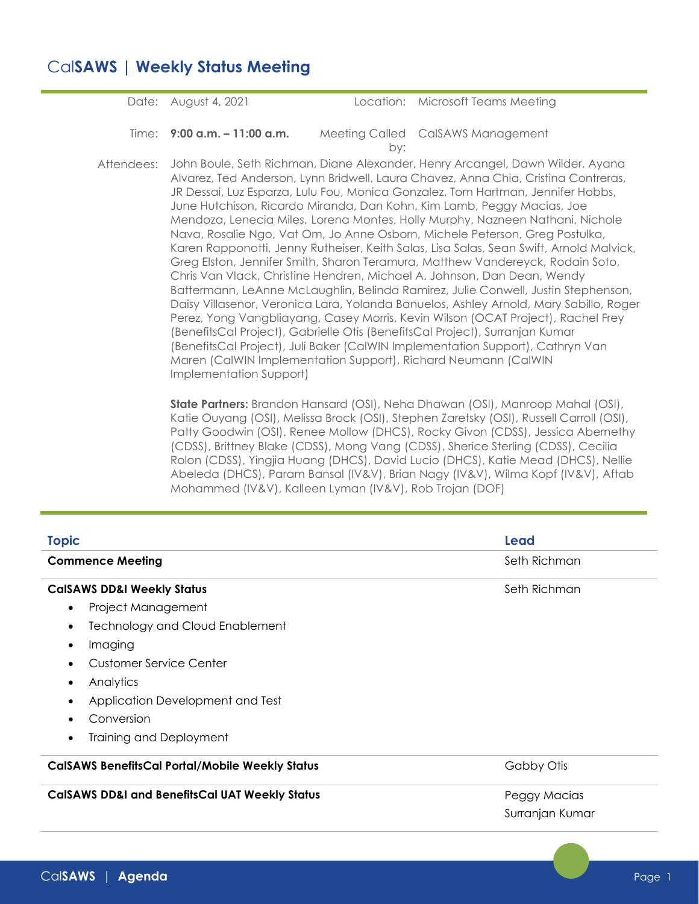## Cal**SAWS | Weekly Status Meeting**

Date: August 4, 2021 Location: Microsoft Teams Meeting **Time: 9:00 a.m. – 11:00 a.m.** by: Meeting Called CalSAWS Management Attendees: John Boule, Seth Richman, Diane Alexander, Henry Arcangel, Dawn Wilder, Ayana Alvarez, Ted Anderson, Lynn Bridwell, Laura Chavez, Anna Chia, Cristina Contreras, JR Dessai, Luz Esparza, Lulu Fou, Monica Gonzalez, Tom Hartman, Jennifer Hobbs, June Hutchison, Ricardo Miranda, Dan Kohn, Kim Lamb, Peggy Macias, Joe Mendoza, Lenecia Miles, Lorena Montes, Holly Murphy, Nazneen Nathani, Nichole Nava, Rosalie Ngo, Vat Om, Jo Anne Osborn, Michele Peterson, Greg Postulka,

Karen Rapponotti, Jenny Rutheiser, Keith Salas, Lisa Salas, Sean Swift, Arnold Malvick, Greg Elston, Jennifer Smith, Sharon Teramura, Matthew Vandereyck, Rodain Soto, Chris Van Vlack, Christine Hendren, Michael A. Johnson, Dan Dean, Wendy Battermann, LeAnne McLaughlin, Belinda Ramirez, Julie Conwell, Justin Stephenson, Daisy Villasenor, Veronica Lara, Yolanda Banuelos, Ashley Arnold, Mary Sabillo, Roger Perez, Yong Vangbliayang, Casey Morris, Kevin Wilson (OCAT Project), Rachel Frey (BenefitsCal Project), Gabrielle Otis (BenefitsCal Project), Surranjan Kumar (BenefitsCal Project), Juli Baker (CalWIN Implementation Support), Cathryn Van Maren (CalWIN Implementation Support), Richard Neumann (CalWIN Implementation Support)

**State Partners:** Brandon Hansard (OSI), Neha Dhawan (OSI), Manroop Mahal (OSI), Katie Ouyang (OSI), Melissa Brock (OSI), Stephen Zaretsky (OSI), Russell Carroll (OSI), Patty Goodwin (OSI), Renee Mollow (DHCS), Rocky Givon (CDSS), Jessica Abernethy (CDSS), Brittney Blake (CDSS), Mong Vang (CDSS), Sherice Sterling (CDSS), Cecilia Rolon (CDSS), Yingjia Huang (DHCS), David Lucio (DHCS), Katie Mead (DHCS), Nellie Abeleda (DHCS), Param Bansal (IV&V), Brian Nagy (IV&V), Wilma Kopf (IV&V), Aftab Mohammed (IV&V), Kalleen Lyman (IV&V), Rob Trojan (DOF)

| <b>Topic</b>                                              | Lead            |  |  |
|-----------------------------------------------------------|-----------------|--|--|
| <b>Commence Meeting</b>                                   | Seth Richman    |  |  |
| <b>CalSAWS DD&amp;I Weekly Status</b>                     | Seth Richman    |  |  |
| Project Management<br>$\bullet$                           |                 |  |  |
| <b>Technology and Cloud Enablement</b><br>$\bullet$       |                 |  |  |
| Imaging<br>$\bullet$                                      |                 |  |  |
| Customer Service Center<br>$\bullet$                      |                 |  |  |
| Analytics<br>$\bullet$                                    |                 |  |  |
| Application Development and Test<br>$\bullet$             |                 |  |  |
| Conversion                                                |                 |  |  |
| Training and Deployment<br>$\bullet$                      |                 |  |  |
| <b>CalSAWS BenefitsCal Portal/Mobile Weekly Status</b>    | Gabby Otis      |  |  |
| <b>CalSAWS DD&amp;I and BenefitsCal UAT Weekly Status</b> | Peggy Macias    |  |  |
|                                                           | Surranjan Kumar |  |  |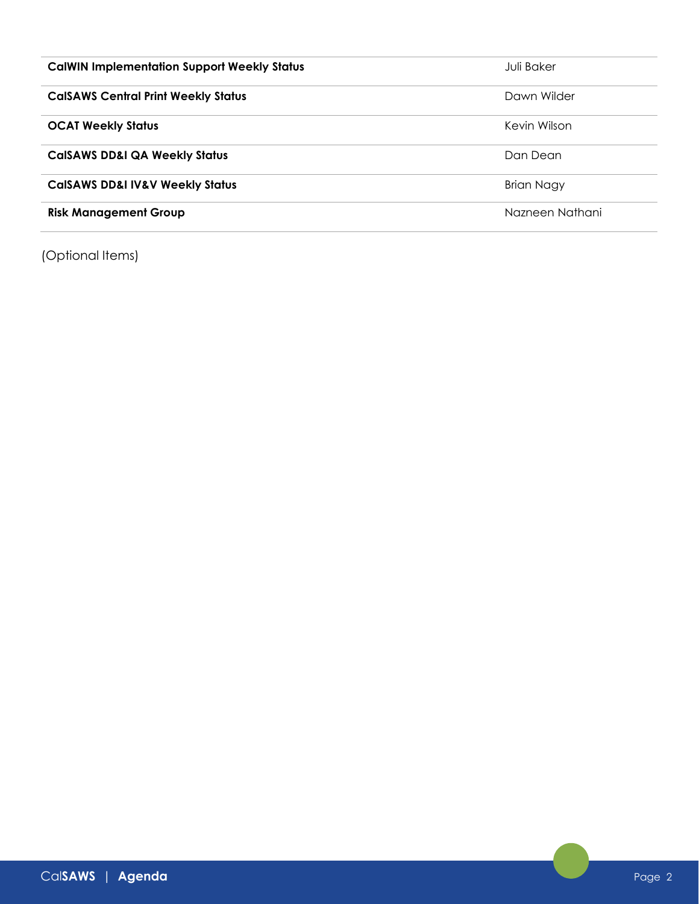| <b>CalWIN Implementation Support Weekly Status</b> | Juli Baker        |
|----------------------------------------------------|-------------------|
| <b>CalSAWS Central Print Weekly Status</b>         | Dawn Wilder       |
| <b>OCAT Weekly Status</b>                          | Kevin Wilson      |
| <b>CalSAWS DD&amp;I QA Weekly Status</b>           | Dan Dean          |
| <b>CalSAWS DD&amp;I IV&amp;V Weekly Status</b>     | <b>Brian Nagy</b> |
| <b>Risk Management Group</b>                       | Nazneen Nathani   |

(Optional Items)